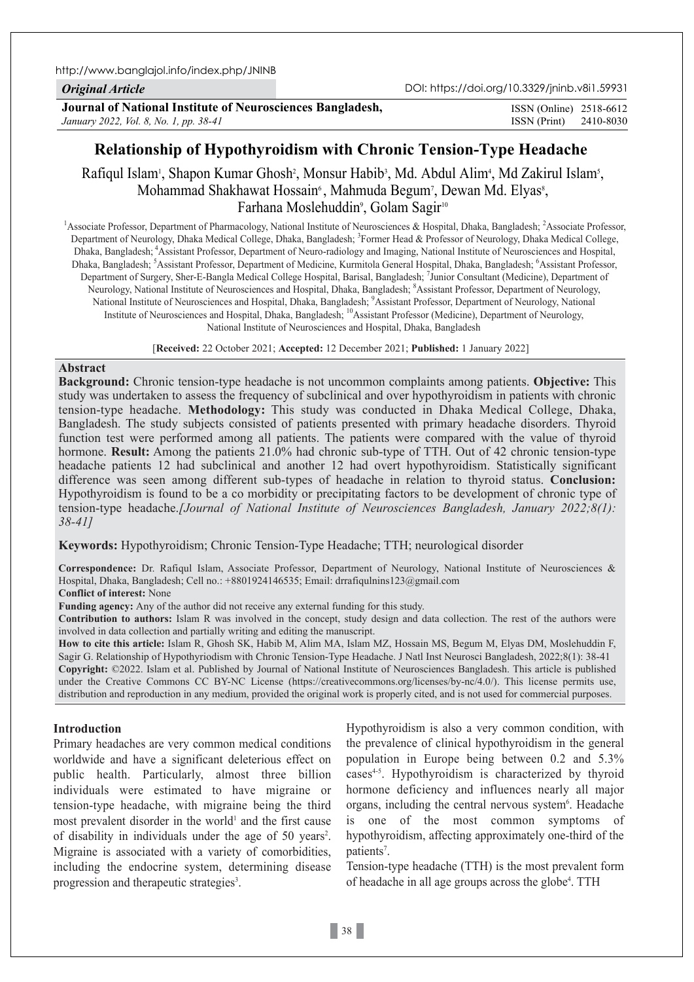http://www.banglajol.info/index.php/JNINB

*Original Article*

**Journal of National Institute of Neurosciences Bangladesh,** *January 2022, Vol. 8, No. 1, pp. 38-41*

ISSN (Print) 2410-8030 ISSN (Online) 2518-6612

# **Relationship of Hypothyroidism with Chronic Tension-Type Headache**

Rafiqul Islam<sup>i</sup>, Shapon Kumar Ghosh<sup>2</sup>, Monsur Habib<sup>3</sup>, Md. Abdul Alim<sup>4</sup>, Md Zakirul Islam<sup>5</sup>, Mohammad Shakhawat Hossain<sup>6</sup>, Mahmuda Begum<sup>7</sup>, Dewan Md. Elyas<sup>8</sup>, Farhana Moslehuddin<sup>9</sup>, Golam Sagir<sup>10</sup>

<sup>1</sup> Associate Professor, Department of Pharmacology, National Institute of Neurosciences & Hospital, Dhaka, Bangladesh; <sup>2</sup> Associate Professor, Department of Neurology, Dhaka Medical College, Dhaka, Bangladesh; <sup>3</sup>Former Head & Professor of Neurology, Dhaka Medical College, Dhaka, Bangladesh; 4Assistant Professor, Department of Neuro-radiology and Imaging, National Institute of Neurosciences and Hospital, Dhaka, Bangladesh; <sup>5</sup>Assistant Professor, Department of Medicine, Kurmitola General Hospital, Dhaka, Bangladesh; <sup>6</sup>Assistant Professor, Department of Surgery, Sher-E-Bangla Medical College Hospital, Barisal, Bangladesh; <sup>7</sup>Junior Consultant (Medicine), Department of Neurology, National Institute of Neurosciences and Hospital, Dhaka, Bangladesh; <sup>8</sup>Assistant Professor, Department of Neurology, National Institute of Neurosciences and Hospital, Dhaka, Bangladesh; <sup>9</sup>Assistant Professor, Department of Neurology, National Institute of Neurosciences and Hospital, Dhaka, Bangladesh; <sup>10</sup>Assistant Professor (Medicine), Department of Neurology, National Institute of Neurosciences and Hospital, Dhaka, Bangladesh

[**Received:** 22 October 2021; **Accepted:** 12 December 2021; **Published:** 1 January 2022]

## **Abstract**

**Background:** Chronic tension-type headache is not uncommon complaints among patients. **Objective:** This study was undertaken to assess the frequency of subclinical and over hypothyroidism in patients with chronic tension-type headache. **Methodology:** This study was conducted in Dhaka Medical College, Dhaka, Bangladesh. The study subjects consisted of patients presented with primary headache disorders. Thyroid function test were performed among all patients. The patients were compared with the value of thyroid hormone. **Result:** Among the patients 21.0% had chronic sub-type of TTH. Out of 42 chronic tension-type headache patients 12 had subclinical and another 12 had overt hypothyroidism. Statistically significant difference was seen among different sub-types of headache in relation to thyroid status. **Conclusion:** Hypothyroidism is found to be a co morbidity or precipitating factors to be development of chronic type of tension-type headache.*[Journal of National Institute of Neurosciences Bangladesh, January 2022;8(1): 38-41]*

**Keywords:** Hypothyroidism; Chronic Tension-Type Headache; TTH; neurological disorder

**Correspondence:** Dr. Rafiqul Islam, Associate Professor, Department of Neurology, National Institute of Neurosciences & Hospital, Dhaka, Bangladesh; Cell no.: +8801924146535; Email: drrafiqulnins123@gmail.com

**Conflict of interest:** None

**Funding agency:** Any of the author did not receive any external funding for this study.

**Contribution to authors:** Islam R was involved in the concept, study design and data collection. The rest of the authors were involved in data collection and partially writing and editing the manuscript.

**How to cite this article:** Islam R, Ghosh SK, Habib M, Alim MA, Islam MZ, Hossain MS, Begum M, Elyas DM, Moslehuddin F, Sagir G. Relationship of Hypothyriodism with Chronic Tension-Type Headache. J Natl Inst Neurosci Bangladesh, 2022;8(1): 38-41 **Copyright:** ©2022. Islam et al. Published by Journal of National Institute of Neurosciences Bangladesh. This article is published under the Creative Commons CC BY-NC License (https://creativecommons.org/licenses/by-nc/4.0/). This license permits use, distribution and reproduction in any medium, provided the original work is properly cited, and is not used for commercial purposes.

#### **Introduction**

Primary headaches are very common medical conditions worldwide and have a significant deleterious effect on public health. Particularly, almost three billion individuals were estimated to have migraine or tension-type headache, with migraine being the third most prevalent disorder in the world<sup>1</sup> and the first cause of disability in individuals under the age of 50 years<sup>2</sup>. Migraine is associated with a variety of comorbidities, including the endocrine system, determining disease progression and therapeutic strategies<sup>3</sup>.

Hypothyroidism is also a very common condition, with the prevalence of clinical hypothyroidism in the general population in Europe being between 0.2 and 5.3% cases<sup>4-5</sup>. Hypothyroidism is characterized by thyroid hormone deficiency and influences nearly all major organs, including the central nervous system<sup>6</sup>. Headache is one of the most common symptoms of hypothyroidism, affecting approximately one-third of the patients<sup>7</sup>.

Tension-type headache (TTH) is the most prevalent form of headache in all age groups across the globe<sup>4</sup>. TTH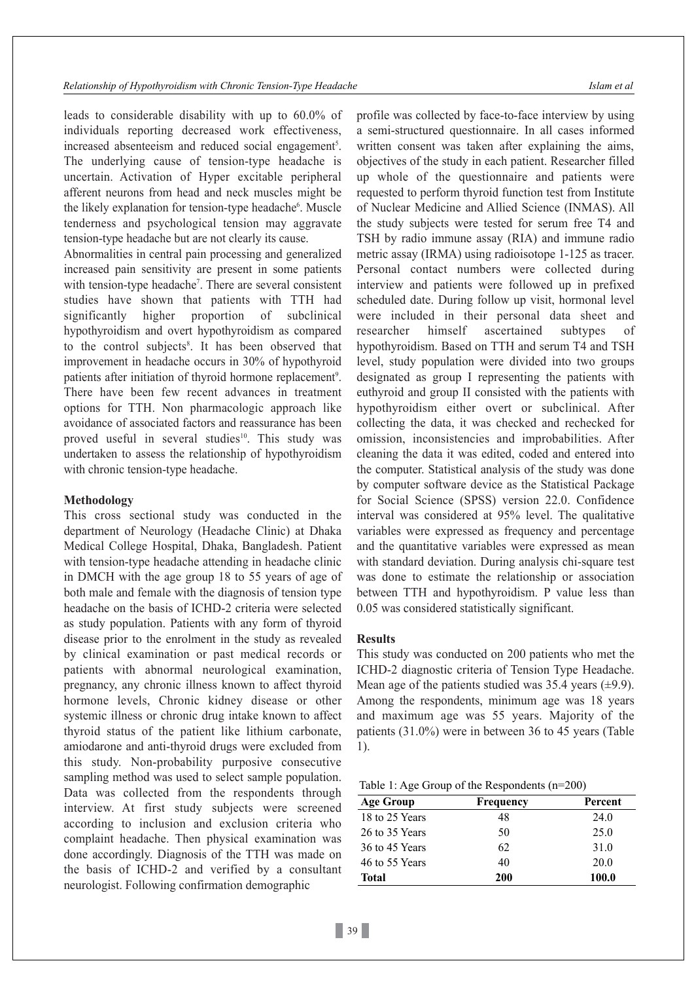leads to considerable disability with up to 60.0% of individuals reporting decreased work effectiveness, increased absenteeism and reduced social engagement<sup>5</sup>. The underlying cause of tension-type headache is uncertain. Activation of Hyper excitable peripheral afferent neurons from head and neck muscles might be the likely explanation for tension-type headache<sup>6</sup>. Muscle tenderness and psychological tension may aggravate tension-type headache but are not clearly its cause.

Abnormalities in central pain processing and generalized increased pain sensitivity are present in some patients with tension-type headache<sup>7</sup>. There are several consistent studies have shown that patients with TTH had significantly higher proportion of subclinical hypothyroidism and overt hypothyroidism as compared to the control subjects<sup>8</sup>. It has been observed that improvement in headache occurs in 30% of hypothyroid patients after initiation of thyroid hormone replacement<sup>9</sup>. There have been few recent advances in treatment options for TTH. Non pharmacologic approach like avoidance of associated factors and reassurance has been proved useful in several studies<sup>10</sup>. This study was undertaken to assess the relationship of hypothyroidism with chronic tension-type headache.

#### **Methodology**

This cross sectional study was conducted in the department of Neurology (Headache Clinic) at Dhaka Medical College Hospital, Dhaka, Bangladesh. Patient with tension-type headache attending in headache clinic in DMCH with the age group 18 to 55 years of age of both male and female with the diagnosis of tension type headache on the basis of ICHD-2 criteria were selected as study population. Patients with any form of thyroid disease prior to the enrolment in the study as revealed by clinical examination or past medical records or patients with abnormal neurological examination, pregnancy, any chronic illness known to affect thyroid hormone levels, Chronic kidney disease or other systemic illness or chronic drug intake known to affect thyroid status of the patient like lithium carbonate, amiodarone and anti-thyroid drugs were excluded from this study. Non-probability purposive consecutive sampling method was used to select sample population. Data was collected from the respondents through interview. At first study subjects were screened according to inclusion and exclusion criteria who complaint headache. Then physical examination was done accordingly. Diagnosis of the TTH was made on the basis of ICHD-2 and verified by a consultant neurologist. Following confirmation demographic

profile was collected by face-to-face interview by using a semi-structured questionnaire. In all cases informed written consent was taken after explaining the aims, objectives of the study in each patient. Researcher filled up whole of the questionnaire and patients were requested to perform thyroid function test from Institute of Nuclear Medicine and Allied Science (INMAS). All the study subjects were tested for serum free T4 and TSH by radio immune assay (RIA) and immune radio metric assay (IRMA) using radioisotope 1-125 as tracer. Personal contact numbers were collected during interview and patients were followed up in prefixed scheduled date. During follow up visit, hormonal level were included in their personal data sheet and researcher himself ascertained subtypes of hypothyroidism. Based on TTH and serum T4 and TSH level, study population were divided into two groups designated as group I representing the patients with euthyroid and group II consisted with the patients with hypothyroidism either overt or subclinical. After collecting the data, it was checked and rechecked for omission, inconsistencies and improbabilities. After cleaning the data it was edited, coded and entered into the computer. Statistical analysis of the study was done by computer software device as the Statistical Package for Social Science (SPSS) version 22.0. Confidence interval was considered at 95% level. The qualitative variables were expressed as frequency and percentage and the quantitative variables were expressed as mean with standard deviation. During analysis chi-square test was done to estimate the relationship or association between TTH and hypothyroidism. P value less than 0.05 was considered statistically significant.

#### **Results**

This study was conducted on 200 patients who met the ICHD-2 diagnostic criteria of Tension Type Headache. Mean age of the patients studied was 35.4 years  $(\pm 9.9)$ . Among the respondents, minimum age was 18 years and maximum age was 55 years. Majority of the patients (31.0%) were in between 36 to 45 years (Table 1).

| Table 1: Age Group of the Respondents $(n=200)$ |  |  |  |  |  |
|-------------------------------------------------|--|--|--|--|--|
|-------------------------------------------------|--|--|--|--|--|

| <b>Age Group</b> | Frequency  | Percent |  |
|------------------|------------|---------|--|
| 18 to 25 Years   | 48         | 24.0    |  |
| 26 to 35 Years   | 50         | 25.0    |  |
| 36 to 45 Years   | 62         | 31.0    |  |
| 46 to 55 Years   | 40         | 20.0    |  |
| Total            | <b>200</b> | 100.0   |  |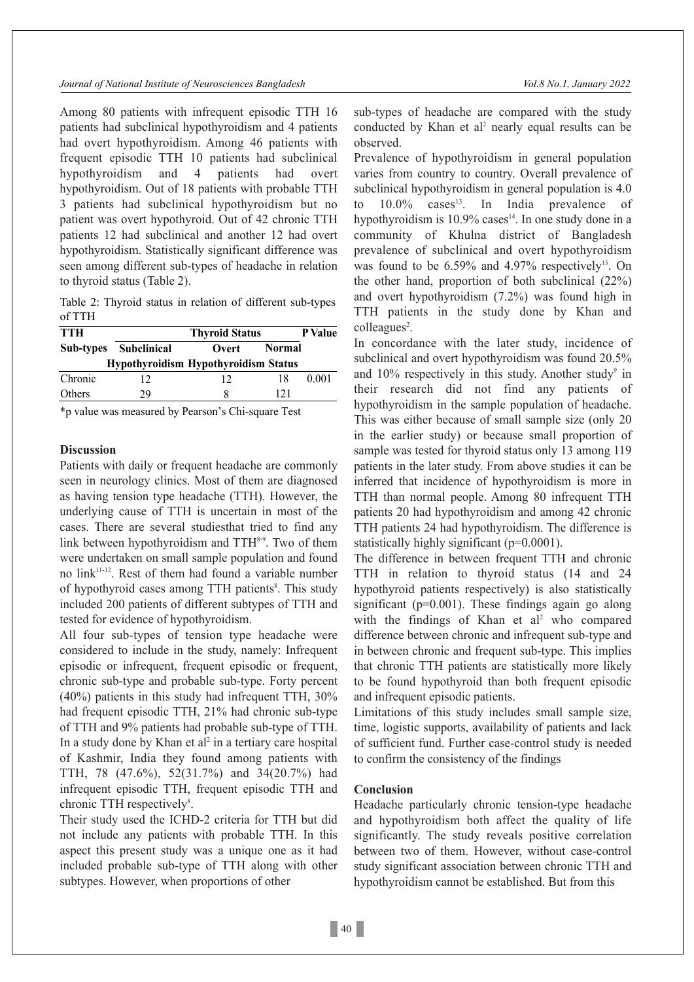*Journal of National Institute of Neurosciences Bangladesh Vol.8 No.1, January 2022*

Among 80 patients with infrequent episodic TTH 16 patients had subclinical hypothyroidism and 4 patients had overt hypothyroidism. Among 46 patients with frequent episodic TTH 10 patients had subclinical hypothyroidism and 4 patients had overt hypothyroidism. Out of 18 patients with probable TTH 3 patients had subclinical hypothyroidism but no patient was overt hypothyroid. Out of 42 chronic TTH patients 12 had subclinical and another 12 had overt hypothyroidism. Statistically significant difference was seen among different sub-types of headache in relation to thyroid status (Table 2).

Table 2: Thyroid status in relation of different sub-types of TTH

| <b>TTH</b> |                       | <b>Thyroid Status</b>                       | P Value       |       |
|------------|-----------------------|---------------------------------------------|---------------|-------|
|            | Sub-types Subclinical | Overt                                       | <b>Normal</b> |       |
|            |                       | <b>Hypothyroidism Hypothyroidism Status</b> |               |       |
| Chronic    |                       | 12                                          | 18            | 0.001 |
| Others     | 29                    |                                             | 121           |       |

\*p value was measured by Pearson's Chi-square Test

#### **Discussion**

Patients with daily or frequent headache are commonly seen in neurology clinics. Most of them are diagnosed as having tension type headache (TTH). However, the underlying cause of TTH is uncertain in most of the cases. There are several studiesthat tried to find any link between hypothyroidism and  $TTH<sup>8-9</sup>$ . Two of them were undertaken on small sample population and found no link11-12. Rest of them had found a variable number of hypothyroid cases among TTH patients<sup>8</sup>. This study included 200 patients of different subtypes of TTH and tested for evidence of hypothyroidism.

All four sub-types of tension type headache were considered to include in the study, namely: Infrequent episodic or infrequent, frequent episodic or frequent, chronic sub-type and probable sub-type. Forty percent (40%) patients in this study had infrequent TTH, 30% had frequent episodic TTH, 21% had chronic sub-type of TTH and 9% patients had probable sub-type of TTH. In a study done by Khan et al 2 in a tertiary care hospital of Kashmir, India they found among patients with TTH, 78 (47.6%), 52(31.7%) and 34(20.7%) had infrequent episodic TTH, frequent episodic TTH and chronic TTH respectively<sup>8</sup>.

Their study used the ICHD-2 criteria for TTH but did not include any patients with probable TTH. In this aspect this present study was a unique one as it had included probable sub-type of TTH along with other subtypes. However, when proportions of other

sub-types of headache are compared with the study conducted by Khan et al 2 nearly equal results can be observed.

Prevalence of hypothyroidism in general population varies from country to country. Overall prevalence of subclinical hypothyroidism in general population is 4.0 to  $10.0\%$  cases<sup>13</sup>. In India prevalence of hypothyroidism is  $10.9\%$  cases<sup>14</sup>. In one study done in a community of Khulna district of Bangladesh prevalence of subclinical and overt hypothyroidism was found to be  $6.59\%$  and  $4.97\%$  respectively<sup>15</sup>. On the other hand, proportion of both subclinical (22%) and overt hypothyroidism (7.2%) was found high in TTH patients in the study done by Khan and colleagues<sup>2</sup>.

In concordance with the later study, incidence of subclinical and overt hypothyroidism was found 20.5% and  $10\%$  respectively in this study. Another study<sup>9</sup> in their research did not find any patients of hypothyroidism in the sample population of headache. This was either because of small sample size (only 20 in the earlier study) or because small proportion of sample was tested for thyroid status only 13 among 119 patients in the later study. From above studies it can be inferred that incidence of hypothyroidism is more in TTH than normal people. Among 80 infrequent TTH patients 20 had hypothyroidism and among 42 chronic TTH patients 24 had hypothyroidism. The difference is statistically highly significant (p=0.0001).

The difference in between frequent TTH and chronic TTH in relation to thyroid status (14 and 24 hypothyroid patients respectively) is also statistically significant ( $p=0.001$ ). These findings again go along with the findings of Khan et al<sup>2</sup> who compared difference between chronic and infrequent sub-type and in between chronic and frequent sub-type. This implies that chronic TTH patients are statistically more likely to be found hypothyroid than both frequent episodic and infrequent episodic patients.

Limitations of this study includes small sample size, time, logistic supports, availability of patients and lack of sufficient fund. Further case-control study is needed to confirm the consistency of the findings

### **Conclusion**

Headache particularly chronic tension-type headache and hypothyroidism both affect the quality of life significantly. The study reveals positive correlation between two of them. However, without case-control study significant association between chronic TTH and hypothyroidism cannot be established. But from this